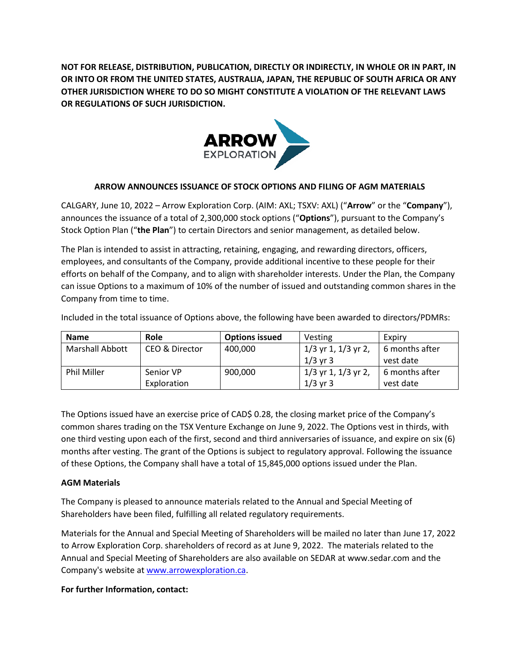**NOT FOR RELEASE, DISTRIBUTION, PUBLICATION, DIRECTLY OR INDIRECTLY, IN WHOLE OR IN PART, IN OR INTO OR FROM THE UNITED STATES, AUSTRALIA, JAPAN, THE REPUBLIC OF SOUTH AFRICA OR ANY OTHER JURISDICTION WHERE TO DO SO MIGHT CONSTITUTE A VIOLATION OF THE RELEVANT LAWS OR REGULATIONS OF SUCH JURISDICTION.**



## **ARROW ANNOUNCES ISSUANCE OF STOCK OPTIONS AND FILING OF AGM MATERIALS**

CALGARY, June 10, 2022 – Arrow Exploration Corp. (AIM: AXL; TSXV: AXL) ("**Arrow**" or the "**Company**"), announces the issuance of a total of 2,300,000 stock options ("**Options**"), pursuant to the Company's Stock Option Plan ("**the Plan**") to certain Directors and senior management, as detailed below.

The Plan is intended to assist in attracting, retaining, engaging, and rewarding directors, officers, employees, and consultants of the Company, provide additional incentive to these people for their efforts on behalf of the Company, and to align with shareholder interests. Under the Plan, the Company can issue Options to a maximum of 10% of the number of issued and outstanding common shares in the Company from time to time.

Included in the total issuance of Options above, the following have been awarded to directors/PDMRs:

| <b>Name</b>            | Role           | <b>Options issued</b> | Vesting                 | Expiry         |
|------------------------|----------------|-----------------------|-------------------------|----------------|
| <b>Marshall Abbott</b> | CEO & Director | 400,000               | $1/3$ yr 1, $1/3$ yr 2, | 6 months after |
|                        |                |                       | $1/3$ yr 3              | vest date      |
| <b>Phil Miller</b>     | Senior VP      | 900,000               | $1/3$ yr 1, $1/3$ yr 2, | 6 months after |
|                        | Exploration    |                       | $1/3$ yr 3              | vest date      |

The Options issued have an exercise price of CAD\$ 0.28, the closing market price of the Company's common shares trading on the TSX Venture Exchange on June 9, 2022. The Options vest in thirds, with one third vesting upon each of the first, second and third anniversaries of issuance, and expire on six (6) months after vesting. The grant of the Options is subject to regulatory approval. Following the issuance of these Options, the Company shall have a total of 15,845,000 options issued under the Plan.

## **AGM Materials**

The Company is pleased to announce materials related to the Annual and Special Meeting of Shareholders have been filed, fulfilling all related regulatory requirements.

Materials for the Annual and Special Meeting of Shareholders will be mailed no later than June 17, 2022 to Arrow Exploration Corp. shareholders of record as at June 9, 2022. The materials related to the Annual and Special Meeting of Shareholders are also available on SEDAR at [www.sedar.com](http://www.sedar.com/) and the Company's website a[t www.arrowexploration.ca.](http://www.arrowexploration.ca/)

## **For further Information, contact:**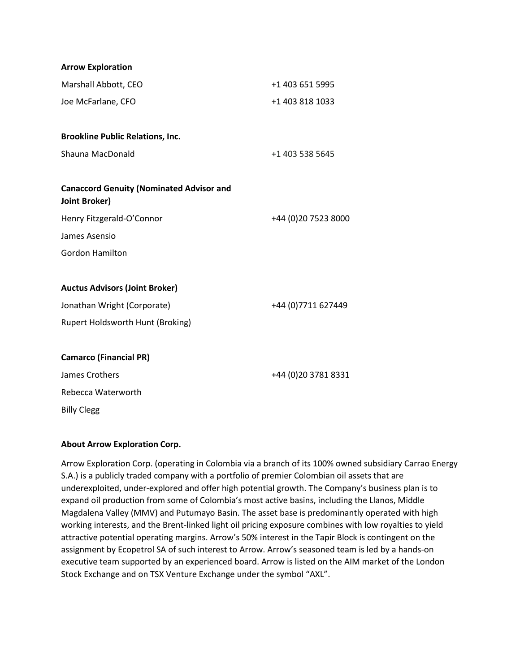| <b>Arrow Exploration</b>                                                |                      |
|-------------------------------------------------------------------------|----------------------|
| Marshall Abbott, CEO                                                    | +1 403 651 5995      |
| Joe McFarlane, CFO                                                      | +1 403 818 1033      |
|                                                                         |                      |
| <b>Brookline Public Relations, Inc.</b>                                 |                      |
| Shauna MacDonald                                                        | +1 403 538 5645      |
| <b>Canaccord Genuity (Nominated Advisor and</b><br><b>Joint Broker)</b> |                      |
| Henry Fitzgerald-O'Connor                                               | +44 (0) 20 7523 8000 |
| James Asensio                                                           |                      |
| <b>Gordon Hamilton</b>                                                  |                      |
| <b>Auctus Advisors (Joint Broker)</b>                                   |                      |
| Jonathan Wright (Corporate)                                             | +44 (0) 7711 627449  |
| Rupert Holdsworth Hunt (Broking)                                        |                      |
| <b>Camarco (Financial PR)</b>                                           |                      |
| James Crothers                                                          | +44 (0) 20 3781 8331 |
| Rebecca Waterworth                                                      |                      |
| <b>Billy Clegg</b>                                                      |                      |

## **About Arrow Exploration Corp.**

Arrow Exploration Corp. (operating in Colombia via a branch of its 100% owned subsidiary Carrao Energy S.A.) is a publicly traded company with a portfolio of premier Colombian oil assets that are underexploited, under-explored and offer high potential growth. The Company's business plan is to expand oil production from some of Colombia's most active basins, including the Llanos, Middle Magdalena Valley (MMV) and Putumayo Basin. The asset base is predominantly operated with high working interests, and the Brent-linked light oil pricing exposure combines with low royalties to yield attractive potential operating margins. Arrow's 50% interest in the Tapir Block is contingent on the assignment by Ecopetrol SA of such interest to Arrow. Arrow's seasoned team is led by a hands-on executive team supported by an experienced board. Arrow is listed on the AIM market of the London Stock Exchange and on TSX Venture Exchange under the symbol "AXL".